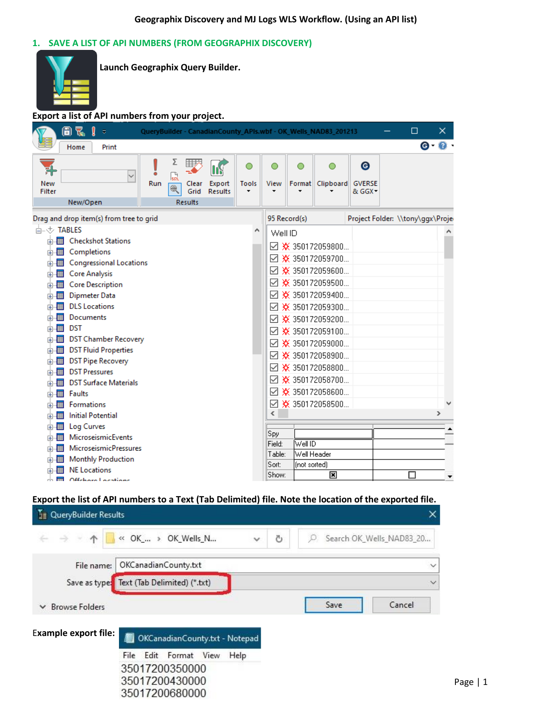### **1. SAVE A LIST OF API NUMBERS (FROM GEOGRAPHIX DISCOVERY)**



**Launch Geographix Query Builder.**

**Export a list of API numbers from your project.**

|                                                                                   | 8 R                                                                                                            | $\overline{\psi}$                                                                                                                                                                                                                                |          |                     |                                       |                          |                   |                |              | QueryBuilder - CanadianCounty_APIs.wbf - OK_Wells_NAD83_201213                                                                                                                                                                                                                                 |                              | □                                | ×.            |
|-----------------------------------------------------------------------------------|----------------------------------------------------------------------------------------------------------------|--------------------------------------------------------------------------------------------------------------------------------------------------------------------------------------------------------------------------------------------------|----------|---------------------|---------------------------------------|--------------------------|-------------------|----------------|--------------|------------------------------------------------------------------------------------------------------------------------------------------------------------------------------------------------------------------------------------------------------------------------------------------------|------------------------------|----------------------------------|---------------|
|                                                                                   | Home                                                                                                           | Print                                                                                                                                                                                                                                            |          |                     |                                       |                          |                   |                |              |                                                                                                                                                                                                                                                                                                |                              |                                  | ෙ <b>ල</b>    |
| New<br>Filter                                                                     | New/Open                                                                                                       | $\checkmark$                                                                                                                                                                                                                                     | ٠<br>Run | r.<br>$\circledast$ | 囲入<br>Clear<br>Grid<br><b>Results</b> | Export<br><b>Results</b> | <b>Tools</b><br>٠ | View           | ∩            | Format Clipboard                                                                                                                                                                                                                                                                               | Θ<br><b>GVERSE</b><br>& GGX- |                                  |               |
|                                                                                   |                                                                                                                | Drag and drop item(s) from tree to grid                                                                                                                                                                                                          |          |                     |                                       |                          |                   |                | 95 Record(s) |                                                                                                                                                                                                                                                                                                |                              | Project Folder: \\tony\ggx\Proje |               |
| 点√ TABLES<br>由權<br>中間<br>面畫<br>面围<br>面围<br>中国<br>中用<br>面痛<br>面腫<br>面围<br>中国<br>面围 | Completions<br><b>Core Analysis</b><br><b>DLS</b> Locations<br>Documents<br><b>DST</b><br><b>DST Pressures</b> | 南 <b>田 Checkshot Stations</b><br><b>Congressional Locations</b><br><b>Core Description</b><br><b>Dipmeter Data</b><br><b>DST Chamber Recovery</b><br><b>e-图 DST Fluid Properties</b><br><b>DST Pipe Recovery</b><br><b>DST Surface Materials</b> |          |                     |                                       |                          | ∧                 | Well ID        |              | $\boxtimes$ * 350172059800<br>☑ ※ 350172059700<br>$\boxtimes$ * 350172059600<br>☑ ※ 350172059500<br>☑ ※ 350172059400<br>☑ ※ 350172059300<br>☑ ※ 350172059200<br>$\boxtimes$ * 350172059100<br>$\boxtimes$ * 350172059000<br>☑ ※ 350172058900<br>$\boxtimes$ * 350172058800<br>☑ ※ 350172058700 |                              |                                  |               |
| 中間<br>面围                                                                          | Faults<br>Formations                                                                                           |                                                                                                                                                                                                                                                  |          |                     |                                       |                          |                   |                |              | $\boxtimes$ * 350172058600<br>☑ ※ 350172058500                                                                                                                                                                                                                                                 |                              |                                  |               |
| 面围                                                                                |                                                                                                                | <b>Initial Potential</b>                                                                                                                                                                                                                         |          |                     |                                       |                          |                   | €              |              |                                                                                                                                                                                                                                                                                                |                              |                                  | $\rightarrow$ |
| 面围                                                                                | Log Curves                                                                                                     |                                                                                                                                                                                                                                                  |          |                     |                                       |                          |                   | Spy            |              |                                                                                                                                                                                                                                                                                                |                              |                                  |               |
| 面围<br>面画                                                                          |                                                                                                                | MicroseismicEvents<br><b>MicroseismicPressures</b>                                                                                                                                                                                               |          |                     |                                       |                          |                   | Field:         | Well ID      |                                                                                                                                                                                                                                                                                                |                              |                                  |               |
| 面腫                                                                                |                                                                                                                | <b>Monthly Production</b>                                                                                                                                                                                                                        |          |                     |                                       |                          |                   | Table:         | Well Header  |                                                                                                                                                                                                                                                                                                |                              |                                  |               |
| 噩                                                                                 | <b>NE Locations</b>                                                                                            |                                                                                                                                                                                                                                                  |          |                     |                                       |                          |                   | Sort:<br>Show: | (not sorted) | 圛                                                                                                                                                                                                                                                                                              |                              |                                  |               |
| $\overline{1}$                                                                    |                                                                                                                | Offeham Laeatiane                                                                                                                                                                                                                                |          |                     |                                       |                          |                   |                |              |                                                                                                                                                                                                                                                                                                |                              |                                  |               |

## **Export the list of API numbers to a Text (Tab Delimited) file. Note the location of the exported file.**

| QueryBuilder Results                                |                                            |                   |                          |
|-----------------------------------------------------|--------------------------------------------|-------------------|--------------------------|
| $\leftarrow$ $\rightarrow$ $\rightarrow$ $\uparrow$ | K OK_ > OK_Wells_N                         | Ö<br>$\checkmark$ | Search OK_Wells_NAD83_20 |
| File name:                                          | OKCanadianCounty.txt                       |                   | $\checkmark$             |
|                                                     | Save as type: Text (Tab Delimited) (*.txt) |                   | $\checkmark$             |
| <b>Browse Folders</b><br>$\checkmark$               |                                            |                   | Save<br>Cancel           |
| <b>Example export file:</b>                         | OKCanadianCounty.txt - Notepad             |                   |                          |
|                                                     | File Edit Format View                      | Help              |                          |
|                                                     | 35017200350000                             |                   |                          |
|                                                     | 35017200430000                             |                   |                          |
|                                                     | 35017200680000                             |                   |                          |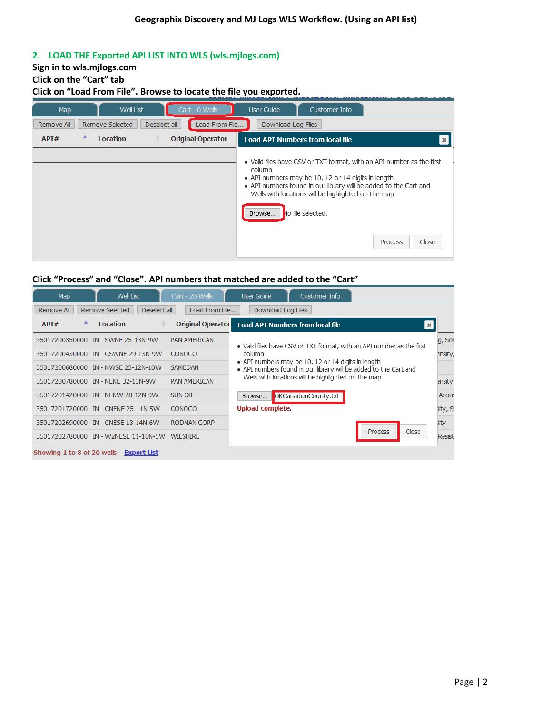## **2. LOAD THE Exported API LIST INTO WLS (wls.mjlogs.com)**

# **Sign in to wls.mjlogs.com**

# **Click on the "Cart" tab**

## **Click on "Load From File". Browse to locate the file you exported.**

| Map        | <b>Well List</b>     | Cart - 0 Wells                 | <b>User Guide</b>                       | Customer Info                                                                                                                                                                                                                                                                                          |
|------------|----------------------|--------------------------------|-----------------------------------------|--------------------------------------------------------------------------------------------------------------------------------------------------------------------------------------------------------------------------------------------------------------------------------------------------------|
| Remove All | Remove Selected      | Load From File<br>Deselect all | Download Log Files                      |                                                                                                                                                                                                                                                                                                        |
| API#       | ▲<br><b>Location</b> | <b>Original Operator</b>       | <b>Load API Numbers from local file</b> |                                                                                                                                                                                                                                                                                                        |
|            |                      |                                | column<br>Browse                        | . Valid files have CSV or TXT format, with an API number as the first<br>• API numbers may be 10, 12 or 14 digits in length<br>• API numbers found in our library will be added to the Cart and<br>Wells with locations will be highlighted on the map<br>No file selected.<br>Close<br><b>Process</b> |

## **Click "Process" and "Close". API numbers that matched are added to the "Cart"**

| Map            | <b>Well List</b>                       |              | Cart - 20 Wells          | <b>User Guide</b>       | Customer Info                                       |                                                                       |          |
|----------------|----------------------------------------|--------------|--------------------------|-------------------------|-----------------------------------------------------|-----------------------------------------------------------------------|----------|
| Remove All     | Remove Selected                        | Deselect all | Load From File           | Download Log Files      |                                                     |                                                                       |          |
| API#           | ▲<br><b>Location</b>                   |              | <b>Original Operator</b> |                         | <b>Load API Numbers from local file</b>             | $\mathbf{x}$                                                          |          |
| 35017200350000 | IN - SWNE 25-13N-9W                    |              | <b>PAN AMERICAN</b>      |                         |                                                     | . Valid files have CSV or TXT format, with an API number as the first | g, Sor   |
| 35017200430000 | IN - CSWNE 29-13N-9W                   |              | <b>CONOCO</b>            | column                  |                                                     |                                                                       | ensity,  |
| 35017200680000 | IN - NWSE 25-12N-10W                   |              | <b>SAMEDAN</b>           |                         | • API numbers may be 10, 12 or 14 digits in length  | • API numbers found in our library will be added to the Cart and      |          |
|                | 35017200780000 IN - NENE 32-13N-9W     |              | <b>PAN AMERICAN</b>      |                         | Wells with locations will be highlighted on the map |                                                                       | ensity   |
|                | 35017201420000 IN - NENW 28-12N-9W     |              | SUN OIL                  | Browse                  | OKCanadianCounty.txt                                |                                                                       | Acous    |
| 35017201720000 | <b>IN - CNENE 25-11N-5W</b>            |              | <b>CONOCO</b>            | <b>Upload complete.</b> |                                                     |                                                                       | sity, Si |
| 35017202690000 | IN - CNESE 13-14N-6W                   |              | <b>RODMAN CORP</b>       |                         |                                                     |                                                                       | sity     |
| 35017202780000 | IN - W2NESE 11-10N-5W                  |              | <b>WILSHIRE</b>          |                         |                                                     | Close<br><b>Process</b>                                               | Resisti  |
|                | Showing 1 to 8 of 20 wells Fxport List |              |                          |                         |                                                     |                                                                       |          |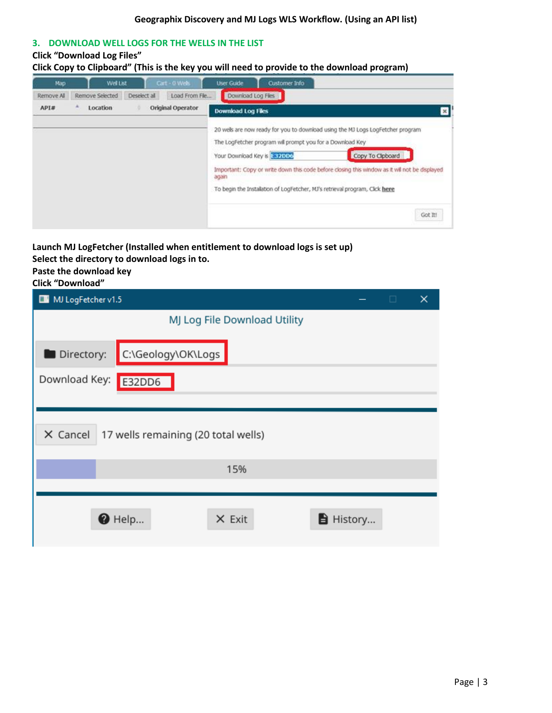#### **3. DOWNLOAD WELL LOGS FOR THE WELLS IN THE LIST**

### **Click "Download Log Files"**

**Click Copy to Clipboard" (This is the key you will need to provide to the download program)**

| Map        | <b>Well List</b> |              | Cart - 0 Web      | <b>User Guide</b>         | Customer Info                                                                            |                                                                                                                                                                                                                                                                                    |
|------------|------------------|--------------|-------------------|---------------------------|------------------------------------------------------------------------------------------|------------------------------------------------------------------------------------------------------------------------------------------------------------------------------------------------------------------------------------------------------------------------------------|
| Remove All | Remove Selected  | Deselect all | Load From Fle     | Download Log Files        |                                                                                          |                                                                                                                                                                                                                                                                                    |
| API#       | Location         |              | Original Operator | <b>Download Log Files</b> |                                                                                          |                                                                                                                                                                                                                                                                                    |
|            |                  |              |                   | again                     | The LogFetcher program will prompt you for a Download Key<br>Your Download Key is E82DD6 | 20 wels are now ready for you to download using the MJ Logs LogFetcher program<br>Copy To Cipboard<br>Important: Copy or write down this code before closing this window as it will not be displayed<br>To begin the Instalation of LogFetcher, MJ's retrieval program, Click here |
|            |                  |              |                   |                           |                                                                                          | Got It!<br>52 M                                                                                                                                                                                                                                                                    |

**Launch MJ LogFetcher (Installed when entitlement to download logs is set up)**

**Select the directory to download logs in to.**

**Paste the download key**

**Click "Download"**

| MJ LogFetcher v1.5<br>$\blacksquare$            |                | $\Box$ | × |
|-------------------------------------------------|----------------|--------|---|
| MJ Log File Download Utility                    |                |        |   |
| C:\Geology\OK\Logs<br>Directory:                |                |        |   |
| Download Key:<br>E32DD6                         |                |        |   |
|                                                 |                |        |   |
| X Cancel<br>17 wells remaining (20 total wells) |                |        |   |
| 15%                                             |                |        |   |
|                                                 |                |        |   |
| $\bullet$ Help<br>$X$ Exit                      | <b>History</b> |        |   |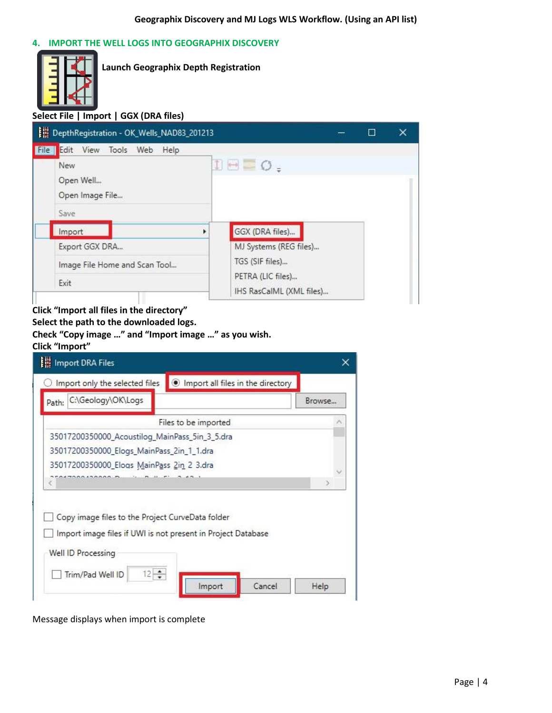### **4. IMPORT THE WELL LOGS INTO GEOGRAPHIX DISCOVERY**



**Launch Geographix Depth Registration**

## **Select File | Import | GGX (DRA files)**

| DepthRegistration - OK_Wells_NAD83_201213                                              | П                                         | × |
|----------------------------------------------------------------------------------------|-------------------------------------------|---|
| Edit View Tools Web Help<br>File<br><b>New</b><br>Open Well<br>Open Image File<br>Save | IE O.                                     |   |
| Import<br>٠<br>Export GGX DRA                                                          | GGX (DRA files)<br>MJ Systems (REG files) |   |
| Image File Home and Scan Tool<br>Exit                                                  | TGS (SIF files)<br>PETRA (LIC files)      |   |
|                                                                                        | IHS RasCalML (XML files)                  |   |

## **Click "Import all files in the directory"**

**Select the path to the downloaded logs. Check "Copy image …" and "Import image …" as you wish.**

# **Click "Import"**

| Import only the selected files                      | Import all files in the directory                            |        |
|-----------------------------------------------------|--------------------------------------------------------------|--------|
| C:\Geology\OK\Logs<br>Path:                         |                                                              | Browse |
|                                                     | Files to be imported                                         |        |
| 35017200350000_Acoustilog_MainPass_5in_3_5.dra      |                                                              |        |
| 35017200350000_Elogs_MainPass_2in_1_1.dra           |                                                              |        |
| 35017200350000_Elogs MainPass 2in 2 3.dra           |                                                              |        |
|                                                     |                                                              | э      |
|                                                     |                                                              |        |
| Copy image files to the Project CurveData folder    | Import image files if UWI is not present in Project Database |        |
| Well ID Processing<br>$12 - 12$<br>Trim/Pad Well ID |                                                              |        |

Message displays when import is complete